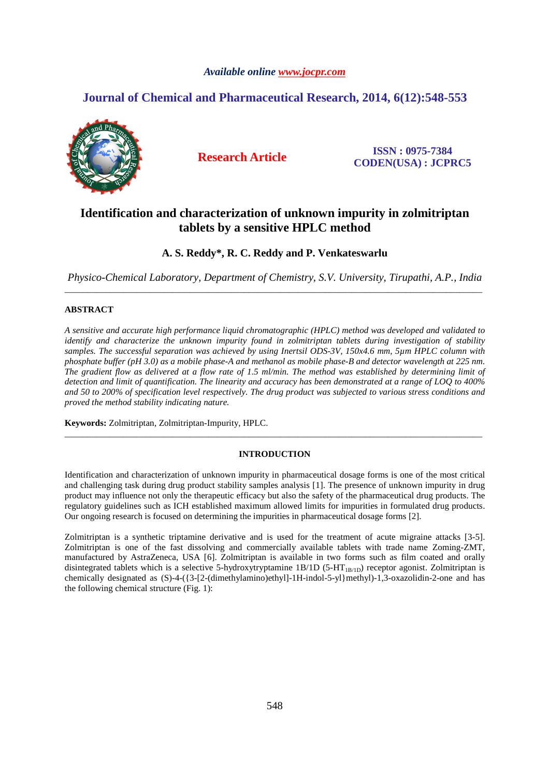# *Available online www.jocpr.com*

# **Journal of Chemical and Pharmaceutical Research, 2014, 6(12):548-553**



**Research Article ISSN : 0975-7384 CODEN(USA) : JCPRC5**

# **Identification and characterization of unknown impurity in zolmitriptan tablets by a sensitive HPLC method**

# **A. S. Reddy\*, R. C. Reddy and P. Venkateswarlu**

*Physico-Chemical Laboratory, Department of Chemistry, S.V. University, Tirupathi, A.P., India*  \_\_\_\_\_\_\_\_\_\_\_\_\_\_\_\_\_\_\_\_\_\_\_\_\_\_\_\_\_\_\_\_\_\_\_\_\_\_\_\_\_\_\_\_\_\_\_\_\_\_\_\_\_\_\_\_\_\_\_\_\_\_\_\_\_\_\_\_\_\_\_\_\_\_\_\_\_\_\_\_\_\_\_\_\_\_\_\_\_\_\_\_\_

# **ABSTRACT**

*A sensitive and accurate high performance liquid chromatographic (HPLC) method was developed and validated to identify and characterize the unknown impurity found in zolmitriptan tablets during investigation of stability samples. The successful separation was achieved by using Inertsil ODS-3V, 150x4.6 mm, 5µm HPLC column with phosphate buffer (pH 3.0) as a mobile phase-A and methanol as mobile phase-B and detector wavelength at 225 nm. The gradient flow as delivered at a flow rate of 1.5 ml/min. The method was established by determining limit of detection and limit of quantification. The linearity and accuracy has been demonstrated at a range of LOQ to 400% and 50 to 200% of specification level respectively. The drug product was subjected to various stress conditions and proved the method stability indicating nature.* 

**Keywords:** Zolmitriptan, Zolmitriptan-Impurity, HPLC.

# **INTRODUCTION**

\_\_\_\_\_\_\_\_\_\_\_\_\_\_\_\_\_\_\_\_\_\_\_\_\_\_\_\_\_\_\_\_\_\_\_\_\_\_\_\_\_\_\_\_\_\_\_\_\_\_\_\_\_\_\_\_\_\_\_\_\_\_\_\_\_\_\_\_\_\_\_\_\_\_\_\_\_\_\_\_\_\_\_\_\_\_\_\_\_\_\_\_\_

Identification and characterization of unknown impurity in pharmaceutical dosage forms is one of the most critical and challenging task during drug product stability samples analysis [1]. The presence of unknown impurity in drug product may influence not only the therapeutic efficacy but also the safety of the pharmaceutical drug products. The regulatory guidelines such as ICH established maximum allowed limits for impurities in formulated drug products. Our ongoing research is focused on determining the impurities in pharmaceutical dosage forms [2].

Zolmitriptan is a synthetic triptamine derivative and is used for the treatment of acute migraine attacks [3-5]. Zolmitriptan is one of the fast dissolving and commercially available tablets with trade name Zoming-ZMT, manufactured by AstraZeneca, USA [6]. Zolmitriptan is available in two forms such as film coated and orally disintegrated tablets which is a selective 5-hydroxytryptamine 1B/1D (5-HT<sub>1B/1D</sub>) receptor agonist. Zolmitriptan is chemically designated as (S)-4-({3-[2-(dimethylamino)ethyl]-1H-indol-5-yl}methyl)-1,3-oxazolidin-2-one and has the following chemical structure (Fig. 1):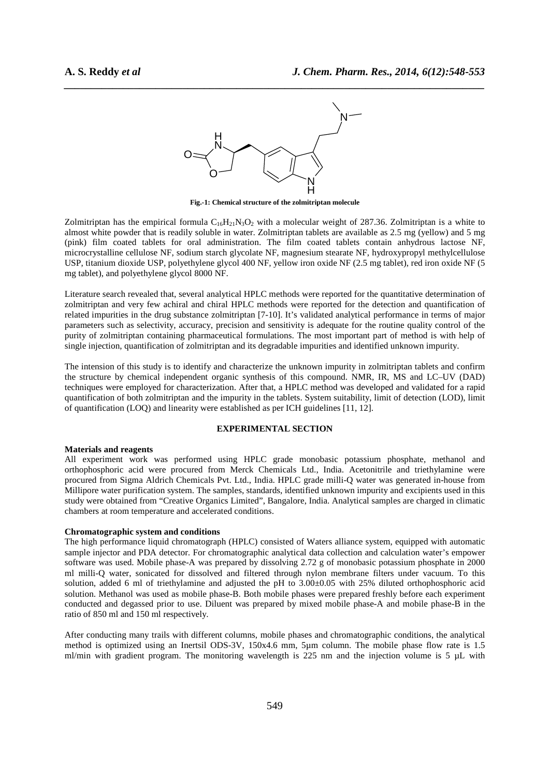

*\_\_\_\_\_\_\_\_\_\_\_\_\_\_\_\_\_\_\_\_\_\_\_\_\_\_\_\_\_\_\_\_\_\_\_\_\_\_\_\_\_\_\_\_\_\_\_\_\_\_\_\_\_\_\_\_\_\_\_\_\_\_\_\_\_\_\_\_\_\_\_\_\_\_\_\_\_\_*

**Fig.-1: Chemical structure of the zolmitriptan molecule** 

Zolmitriptan has the empirical formula  $C_{16}H_{21}N_3O_2$  with a molecular weight of 287.36. Zolmitriptan is a white to almost white powder that is readily soluble in water. Zolmitriptan tablets are available as 2.5 mg (yellow) and 5 mg (pink) film coated tablets for oral administration. The film coated tablets contain anhydrous lactose NF, microcrystalline cellulose NF, sodium starch glycolate NF, magnesium stearate NF, hydroxypropyl methylcellulose USP, titanium dioxide USP, polyethylene glycol 400 NF, yellow iron oxide NF (2.5 mg tablet), red iron oxide NF (5 mg tablet), and polyethylene glycol 8000 NF.

Literature search revealed that, several analytical HPLC methods were reported for the quantitative determination of zolmitriptan and very few achiral and chiral HPLC methods were reported for the detection and quantification of related impurities in the drug substance zolmitriptan [7-10]. It's validated analytical performance in terms of major parameters such as selectivity, accuracy, precision and sensitivity is adequate for the routine quality control of the purity of zolmitriptan containing pharmaceutical formulations. The most important part of method is with help of single injection, quantification of zolmitriptan and its degradable impurities and identified unknown impurity.

The intension of this study is to identify and characterize the unknown impurity in zolmitriptan tablets and confirm the structure by chemical independent organic synthesis of this compound. NMR, IR, MS and LC–UV (DAD) techniques were employed for characterization. After that, a HPLC method was developed and validated for a rapid quantification of both zolmitriptan and the impurity in the tablets. System suitability, limit of detection (LOD), limit of quantification (LOQ) and linearity were established as per ICH guidelines [11, 12].

## **EXPERIMENTAL SECTION**

#### **Materials and reagents**

All experiment work was performed using HPLC grade monobasic potassium phosphate, methanol and orthophosphoric acid were procured from Merck Chemicals Ltd., India. Acetonitrile and triethylamine were procured from Sigma Aldrich Chemicals Pvt. Ltd., India. HPLC grade milli-Q water was generated in-house from Millipore water purification system. The samples, standards, identified unknown impurity and excipients used in this study were obtained from "Creative Organics Limited", Bangalore, India. Analytical samples are charged in climatic chambers at room temperature and accelerated conditions.

## **Chromatographic system and conditions**

The high performance liquid chromatograph (HPLC) consisted of Waters alliance system, equipped with automatic sample injector and PDA detector. For chromatographic analytical data collection and calculation water's empower software was used. Mobile phase-A was prepared by dissolving 2.72 g of monobasic potassium phosphate in 2000 ml milli-Q water, sonicated for dissolved and filtered through nylon membrane filters under vacuum. To this solution, added 6 ml of triethylamine and adjusted the pH to  $3.00\pm0.05$  with 25% diluted orthophosphoric acid solution. Methanol was used as mobile phase-B. Both mobile phases were prepared freshly before each experiment conducted and degassed prior to use. Diluent was prepared by mixed mobile phase-A and mobile phase-B in the ratio of 850 ml and 150 ml respectively.

After conducting many trails with different columns, mobile phases and chromatographic conditions, the analytical method is optimized using an Inertsil ODS-3V, 150x4.6 mm, 5µm column. The mobile phase flow rate is 1.5 ml/min with gradient program. The monitoring wavelength is 225 nm and the injection volume is 5 µL with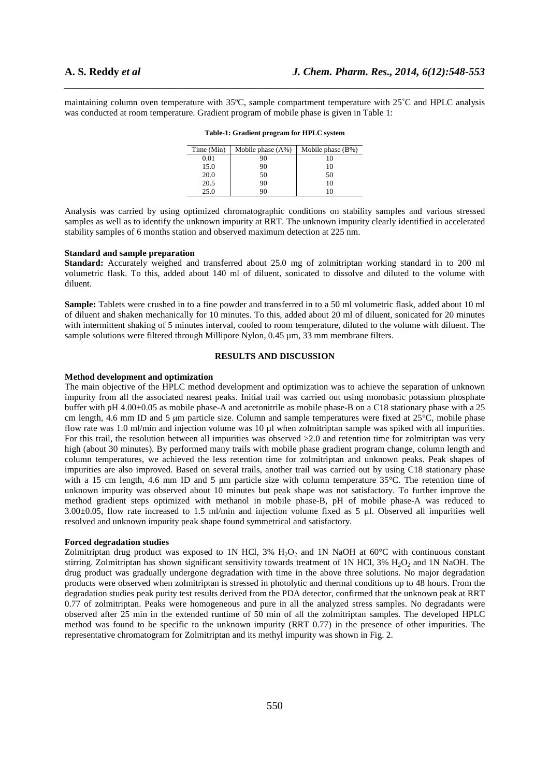maintaining column oven temperature with 35ºC, sample compartment temperature with 25˚C and HPLC analysis was conducted at room temperature. Gradient program of mobile phase is given in Table 1:

*\_\_\_\_\_\_\_\_\_\_\_\_\_\_\_\_\_\_\_\_\_\_\_\_\_\_\_\_\_\_\_\_\_\_\_\_\_\_\_\_\_\_\_\_\_\_\_\_\_\_\_\_\_\_\_\_\_\_\_\_\_\_\_\_\_\_\_\_\_\_\_\_\_\_\_\_\_\_*

| Time (Min) | Mobile phase $(A\%)$ | Mobile phase $(B\%)$ |
|------------|----------------------|----------------------|
| 0.01       | 90                   | 10                   |
| 15.0       | 90                   | 10                   |
| 20.0       | 50                   | 50                   |
| 20.5       | 90                   | 10                   |
| 25.0       | 90                   |                      |

| Table-1: Gradient program for HPLC system |  |
|-------------------------------------------|--|
|-------------------------------------------|--|

Analysis was carried by using optimized chromatographic conditions on stability samples and various stressed samples as well as to identify the unknown impurity at RRT. The unknown impurity clearly identified in accelerated stability samples of 6 months station and observed maximum detection at 225 nm.

#### **Standard and sample preparation**

Standard: Accurately weighed and transferred about 25.0 mg of zolmitriptan working standard in to 200 ml volumetric flask. To this, added about 140 ml of diluent, sonicated to dissolve and diluted to the volume with diluent.

**Sample:** Tablets were crushed in to a fine powder and transferred in to a 50 ml volumetric flask, added about 10 ml of diluent and shaken mechanically for 10 minutes. To this, added about 20 ml of diluent, sonicated for 20 minutes with intermittent shaking of 5 minutes interval, cooled to room temperature, diluted to the volume with diluent. The sample solutions were filtered through Millipore Nylon,  $0.45 \mu m$ ,  $33 \mu m$  membrane filters.

#### **RESULTS AND DISCUSSION**

#### **Method development and optimization**

The main objective of the HPLC method development and optimization was to achieve the separation of unknown impurity from all the associated nearest peaks. Initial trail was carried out using monobasic potassium phosphate buffer with pH 4.00±0.05 as mobile phase-A and acetonitrile as mobile phase-B on a C18 stationary phase with a 25 cm length, 4.6 mm ID and 5 µm particle size. Column and sample temperatures were fixed at 25°C, mobile phase flow rate was 1.0 ml/min and injection volume was 10 µl when zolmitriptan sample was spiked with all impurities. For this trail, the resolution between all impurities was observed  $>2.0$  and retention time for zolmitriptan was very high (about 30 minutes). By performed many trails with mobile phase gradient program change, column length and column temperatures, we achieved the less retention time for zolmitriptan and unknown peaks. Peak shapes of impurities are also improved. Based on several trails, another trail was carried out by using C18 stationary phase with a 15 cm length, 4.6 mm ID and 5 µm particle size with column temperature 35°C. The retention time of unknown impurity was observed about 10 minutes but peak shape was not satisfactory. To further improve the method gradient steps optimized with methanol in mobile phase-B, pH of mobile phase-A was reduced to 3.00±0.05, flow rate increased to 1.5 ml/min and injection volume fixed as 5 µl. Observed all impurities well resolved and unknown impurity peak shape found symmetrical and satisfactory.

## **Forced degradation studies**

Zolmitriptan drug product was exposed to 1N HCl,  $3\%$  H<sub>2</sub>O<sub>2</sub> and 1N NaOH at  $60^{\circ}$ C with continuous constant stirring. Zolmitriptan has shown significant sensitivity towards treatment of 1N HCl, 3% H<sub>2</sub>O<sub>2</sub> and 1N NaOH. The drug product was gradually undergone degradation with time in the above three solutions. No major degradation products were observed when zolmitriptan is stressed in photolytic and thermal conditions up to 48 hours. From the degradation studies peak purity test results derived from the PDA detector, confirmed that the unknown peak at RRT 0.77 of zolmitriptan. Peaks were homogeneous and pure in all the analyzed stress samples. No degradants were observed after 25 min in the extended runtime of 50 min of all the zolmitriptan samples. The developed HPLC method was found to be specific to the unknown impurity (RRT 0.77) in the presence of other impurities. The representative chromatogram for Zolmitriptan and its methyl impurity was shown in Fig. 2.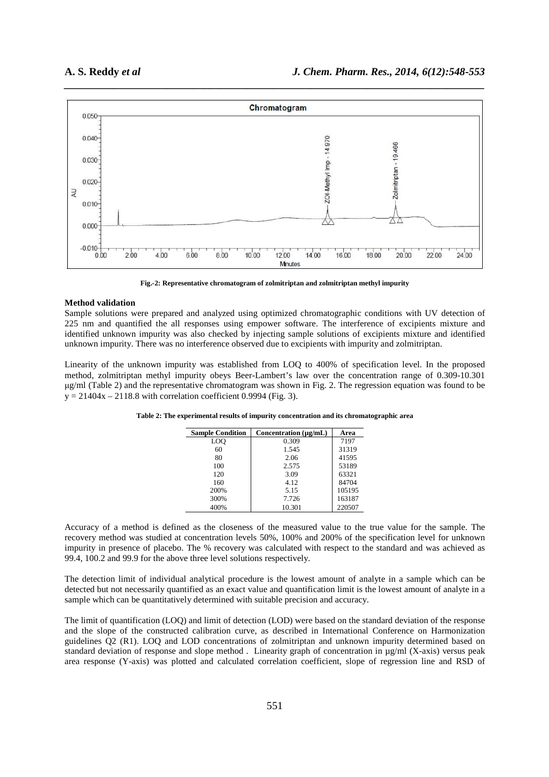

**Fig.-2: Representative chromatogram of zolmitriptan and zolmitriptan methyl impurity** 

#### **Method validation**

Sample solutions were prepared and analyzed using optimized chromatographic conditions with UV detection of 225 nm and quantified the all responses using empower software. The interference of excipients mixture and identified unknown impurity was also checked by injecting sample solutions of excipients mixture and identified unknown impurity. There was no interference observed due to excipients with impurity and zolmitriptan.

Linearity of the unknown impurity was established from LOQ to 400% of specification level. In the proposed method, zolmitriptan methyl impurity obeys Beer-Lambert's law over the concentration range of 0.309-10.301 µg/ml (Table 2) and the representative chromatogram was shown in Fig. 2. The regression equation was found to be  $y = 21404x - 2118.8$  with correlation coefficient 0.9994 (Fig. 3).

| <b>Sample Condition</b> | Concentration $(\mu\alpha/\mathrm{mL})$ | Area   |
|-------------------------|-----------------------------------------|--------|
| LO <sub>O</sub>         | 0.309                                   | 7197   |
| 60                      | 1.545                                   | 31319  |
| 80                      | 2.06                                    | 41595  |
| 100                     | 2.575                                   | 53189  |
| 120                     | 3.09                                    | 63321  |
| 160                     | 4.12                                    | 84704  |
| 200%                    | 5.15                                    | 105195 |
| 300%                    | 7.726                                   | 163187 |
| 400%                    | 10.301                                  | 220507 |

**Table 2: The experimental results of impurity concentration and its chromatographic area** 

Accuracy of a method is defined as the closeness of the measured value to the true value for the sample. The recovery method was studied at concentration levels 50%, 100% and 200% of the specification level for unknown impurity in presence of placebo. The % recovery was calculated with respect to the standard and was achieved as 99.4, 100.2 and 99.9 for the above three level solutions respectively.

The detection limit of individual analytical procedure is the lowest amount of analyte in a sample which can be detected but not necessarily quantified as an exact value and quantification limit is the lowest amount of analyte in a sample which can be quantitatively determined with suitable precision and accuracy.

The limit of quantification (LOQ) and limit of detection (LOD) were based on the standard deviation of the response and the slope of the constructed calibration curve, as described in International Conference on Harmonization guidelines Q2 (R1). LOQ and LOD concentrations of zolmitriptan and unknown impurity determined based on standard deviation of response and slope method . Linearity graph of concentration in µg/ml (X-axis) versus peak area response (Y-axis) was plotted and calculated correlation coefficient, slope of regression line and RSD of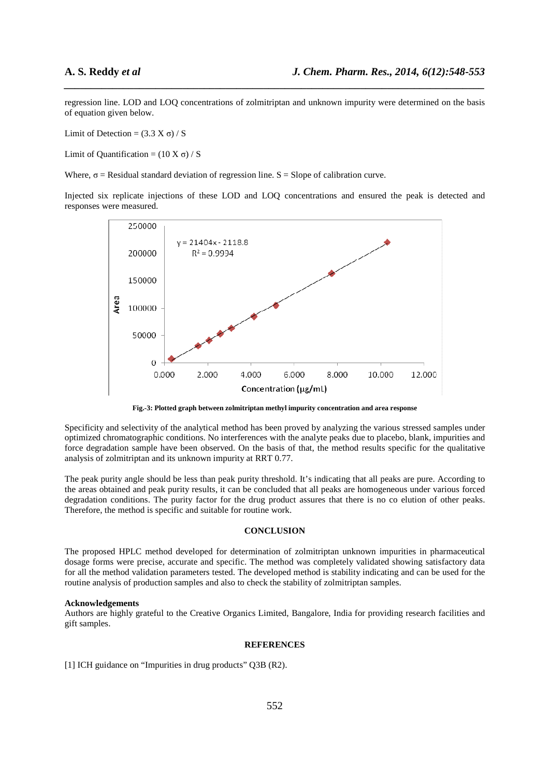regression line. LOD and LOQ concentrations of zolmitriptan and unknown impurity were determined on the basis of equation given below.

*\_\_\_\_\_\_\_\_\_\_\_\_\_\_\_\_\_\_\_\_\_\_\_\_\_\_\_\_\_\_\_\_\_\_\_\_\_\_\_\_\_\_\_\_\_\_\_\_\_\_\_\_\_\_\_\_\_\_\_\_\_\_\_\_\_\_\_\_\_\_\_\_\_\_\_\_\_\_*

Limit of Detection =  $(3.3 \text{ X } \sigma) / \text{ S}$ 

Limit of Quantification =  $(10 \text{ X } \sigma) / \text{S}$ 

Where,  $\sigma$  = Residual standard deviation of regression line. S = Slope of calibration curve.

Injected six replicate injections of these LOD and LOQ concentrations and ensured the peak is detected and responses were measured.



**Fig.-3: Plotted graph between zolmitriptan methyl impurity concentration and area response** 

Specificity and selectivity of the analytical method has been proved by analyzing the various stressed samples under optimized chromatographic conditions. No interferences with the analyte peaks due to placebo, blank, impurities and force degradation sample have been observed. On the basis of that, the method results specific for the qualitative analysis of zolmitriptan and its unknown impurity at RRT 0.77.

The peak purity angle should be less than peak purity threshold. It's indicating that all peaks are pure. According to the areas obtained and peak purity results, it can be concluded that all peaks are homogeneous under various forced degradation conditions. The purity factor for the drug product assures that there is no co elution of other peaks. Therefore, the method is specific and suitable for routine work.

## **CONCLUSION**

The proposed HPLC method developed for determination of zolmitriptan unknown impurities in pharmaceutical dosage forms were precise, accurate and specific. The method was completely validated showing satisfactory data for all the method validation parameters tested. The developed method is stability indicating and can be used for the routine analysis of production samples and also to check the stability of zolmitriptan samples.

### **Acknowledgements**

Authors are highly grateful to the Creative Organics Limited, Bangalore, India for providing research facilities and gift samples.

#### **REFERENCES**

[1] ICH guidance on "Impurities in drug products" Q3B (R2).